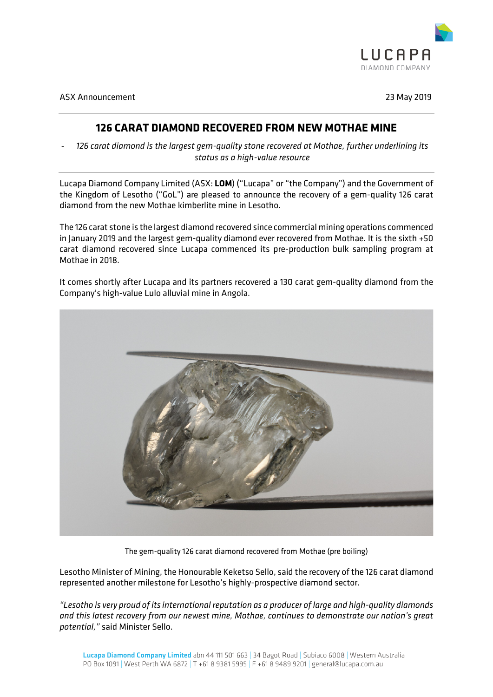

ASX Announcement 23 May 2019

# **126 CARAT DIAMOND RECOVERED FROM NEW MOTHAE MINE**

- *126 carat diamond is the largest gem-quality stone recovered at Mothae, further underlining its status as a high-value resource*

Lucapa Diamond Company Limited (ASX: **LOM**) ("Lucapa" or "the Company") and the Government of the Kingdom of Lesotho ("GoL") are pleased to announce the recovery of a gem-quality 126 carat diamond from the new Mothae kimberlite mine in Lesotho.

The 126 carat stone is the largest diamond recovered since commercial mining operations commenced in January 2019 and the largest gem-quality diamond ever recovered from Mothae. It is the sixth +50 carat diamond recovered since Lucapa commenced its pre-production bulk sampling program at Mothae in 2018.

It comes shortly after Lucapa and its partners recovered a 130 carat gem-quality diamond from the Company's high-value Lulo alluvial mine in Angola.



The gem-quality 126 carat diamond recovered from Mothae (pre boiling)

Lesotho Minister of Mining, the Honourable Keketso Sello, said the recovery of the 126 carat diamond represented another milestone for Lesotho's highly-prospective diamond sector.

*"Lesotho is very proud of its international reputation as a producer of large and high-quality diamonds and this latest recovery from our newest mine, Mothae, continues to demonstrate our nation's great potential,"* said Minister Sello.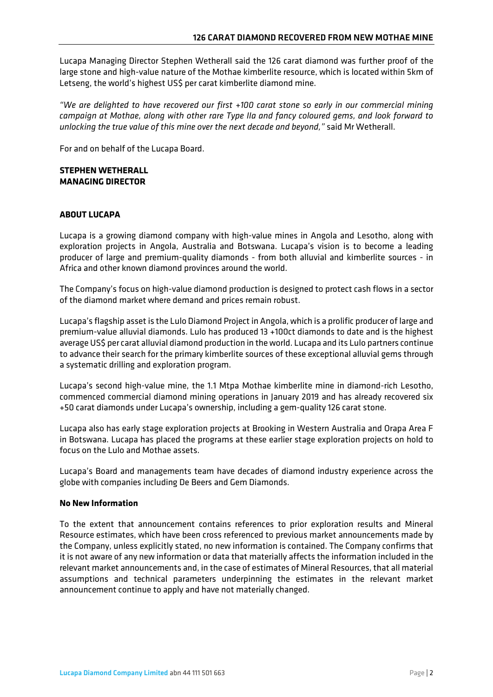Lucapa Managing Director Stephen Wetherall said the 126 carat diamond was further proof of the large stone and high-value nature of the Mothae kimberlite resource, which is located within 5km of Letseng, the world's highest US\$ per carat kimberlite diamond mine.

*"We are delighted to have recovered our first +100 carat stone so early in our commercial mining campaign at Mothae, along with other rare Type IIa and fancy coloured gems, and look forward to unlocking the true value of this mine over the next decade and beyond,"* said Mr Wetherall.

For and on behalf of the Lucapa Board.

## **STEPHEN WETHERALL MANAGING DIRECTOR**

## **ABOUT LUCAPA**

Lucapa is a growing diamond company with high-value mines in Angola and Lesotho, along with exploration projects in Angola, Australia and Botswana. Lucapa's vision is to become a leading producer of large and premium-quality diamonds - from both alluvial and kimberlite sources - in Africa and other known diamond provinces around the world.

The Company's focus on high-value diamond production is designed to protect cash flows in a sector of the diamond market where demand and prices remain robust.

Lucapa's flagship asset is the Lulo Diamond Project in Angola, which is a prolific producer of large and premium-value alluvial diamonds. Lulo has produced 13 +100ct diamonds to date and is the highest average US\$ per carat alluvial diamond production in the world. Lucapa and its Lulo partners continue to advance their search for the primary kimberlite sources of these exceptional alluvial gems through a systematic drilling and exploration program.

Lucapa's second high-value mine, the 1.1 Mtpa Mothae kimberlite mine in diamond-rich Lesotho, commenced commercial diamond mining operations in January 2019 and has already recovered six +50 carat diamonds under Lucapa's ownership, including a gem-quality 126 carat stone.

Lucapa also has early stage exploration projects at Brooking in Western Australia and Orapa Area F in Botswana. Lucapa has placed the programs at these earlier stage exploration projects on hold to focus on the Lulo and Mothae assets.

Lucapa's Board and managements team have decades of diamond industry experience across the globe with companies including De Beers and Gem Diamonds.

## **No New Information**

To the extent that announcement contains references to prior exploration results and Mineral Resource estimates, which have been cross referenced to previous market announcements made by the Company, unless explicitly stated, no new information is contained. The Company confirms that it is not aware of any new information or data that materially affects the information included in the relevant market announcements and, in the case of estimates of Mineral Resources,that all material assumptions and technical parameters underpinning the estimates in the relevant market announcement continue to apply and have not materially changed.